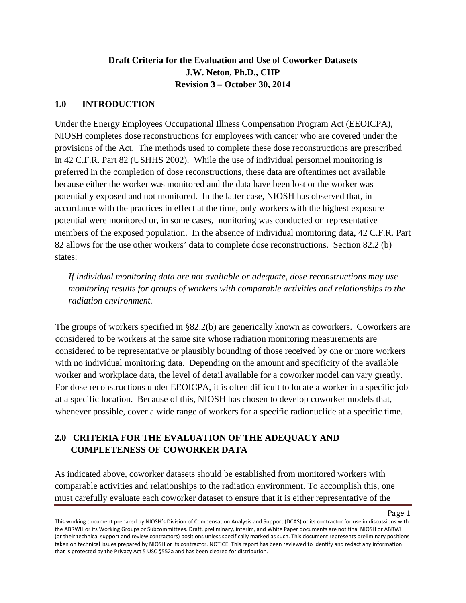# **Draft Criteria for the Evaluation and Use of Coworker Datasets J.W. Neton, Ph.D., CHP Revision 3 – October 30, 2014**

# **1.0 INTRODUCTION**

Under the Energy Employees Occupational Illness Compensation Program Act (EEOICPA), NIOSH completes dose reconstructions for employees with cancer who are covered under the provisions of the Act. The methods used to complete these dose reconstructions are prescribed in 42 C.F.R. Part 82 (USHHS 2002). While the use of individual personnel monitoring is preferred in the completion of dose reconstructions, these data are oftentimes not available because either the worker was monitored and the data have been lost or the worker was potentially exposed and not monitored. In the latter case, NIOSH has observed that, in accordance with the practices in effect at the time, only workers with the highest exposure potential were monitored or, in some cases, monitoring was conducted on representative members of the exposed population. In the absence of individual monitoring data, 42 C.F.R. Part 82 allows for the use other workers' data to complete dose reconstructions. Section 82.2 (b) states:

*If individual monitoring data are not available or adequate, dose reconstructions may use monitoring results for groups of workers with comparable activities and relationships to the radiation environment.* 

The groups of workers specified in §82.2(b) are generically known as coworkers. Coworkers are considered to be workers at the same site whose radiation monitoring measurements are considered to be representative or plausibly bounding of those received by one or more workers with no individual monitoring data. Depending on the amount and specificity of the available worker and workplace data, the level of detail available for a coworker model can vary greatly. For dose reconstructions under EEOICPA, it is often difficult to locate a worker in a specific job at a specific location. Because of this, NIOSH has chosen to develop coworker models that, whenever possible, cover a wide range of workers for a specific radionuclide at a specific time.

# **2.0 CRITERIA FOR THE EVALUATION OF THE ADEQUACY AND COMPLETENESS OF COWORKER DATA**

As indicated above, coworker datasets should be established from monitored workers with comparable activities and relationships to the radiation environment. To accomplish this, one must carefully evaluate each coworker dataset to ensure that it is either representative of the

This working document prepared by NIOSH's Division of Compensation Analysis and Support (DCAS) or its contractor for use in discussions with the ABRWH or its Working Groups or Subcommittees. Draft, preliminary, interim, and White Paper documents are not final NIOSH or ABRWH (or their technical support and review contractors) positions unless specifically marked as such. This document represents preliminary positions taken on technical issues prepared by NIOSH or its contractor. NOTICE: This report has been reviewed to identify and redact any information that is protected by the Privacy Act 5 USC §552a and has been cleared for distribution.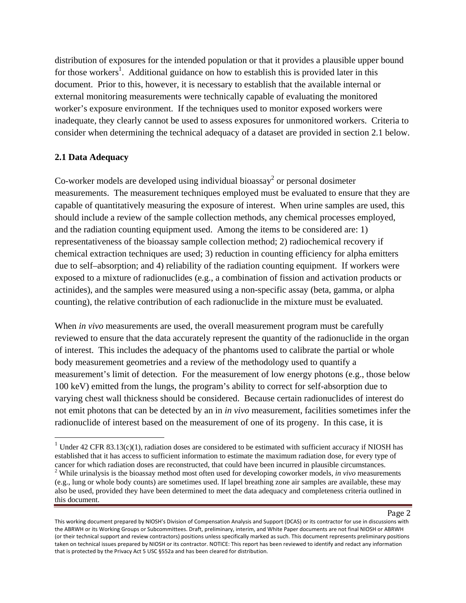distribution of exposures for the intended population or that it provides a plausible upper bound for those workers<sup>1</sup>. Additional guidance on how to establish this is provided later in this document. Prior to this, however, it is necessary to establish that the available internal or external monitoring measurements were technically capable of evaluating the monitored worker's exposure environment. If the techniques used to monitor exposed workers were inadequate, they clearly cannot be used to assess exposures for unmonitored workers. Criteria to consider when determining the technical adequacy of a dataset are provided in section 2.1 below.

## **2.1 Data Adequacy**

Co-worker models are developed using individual bioassay<sup>2</sup> or personal dosimeter measurements. The measurement techniques employed must be evaluated to ensure that they are capable of quantitatively measuring the exposure of interest. When urine samples are used, this should include a review of the sample collection methods, any chemical processes employed, and the radiation counting equipment used. Among the items to be considered are: 1) representativeness of the bioassay sample collection method; 2) radiochemical recovery if chemical extraction techniques are used; 3) reduction in counting efficiency for alpha emitters due to self–absorption; and 4) reliability of the radiation counting equipment. If workers were exposed to a mixture of radionuclides (e.g., a combination of fission and activation products or actinides), and the samples were measured using a non-specific assay (beta, gamma, or alpha counting), the relative contribution of each radionuclide in the mixture must be evaluated.

When *in vivo* measurements are used, the overall measurement program must be carefully reviewed to ensure that the data accurately represent the quantity of the radionuclide in the organ of interest. This includes the adequacy of the phantoms used to calibrate the partial or whole body measurement geometries and a review of the methodology used to quantify a measurement's limit of detection. For the measurement of low energy photons (e.g., those below 100 keV) emitted from the lungs, the program's ability to correct for self-absorption due to varying chest wall thickness should be considered. Because certain radionuclides of interest do not emit photons that can be detected by an in *in vivo* measurement, facilities sometimes infer the radionuclide of interest based on the measurement of one of its progeny. In this case, it is

<sup>&</sup>lt;sup>1</sup> Under 42 CFR 83.13(c)(1), radiation doses are considered to be estimated with sufficient accuracy if NIOSH has established that it has access to sufficient information to estimate the maximum radiation dose, for every type of cancer for which radiation doses are reconstructed, that could have been incurred in plausible circumstances. <sup>2</sup> While urinalysis is the bioassay method most often used for developing coworker models, *in vivo* measurements

<sup>(</sup>e.g., lung or whole body counts) are sometimes used. If lapel breathing zone air samples are available, these may also be used, provided they have been determined to meet the data adequacy and completeness criteria outlined in this document.

This working document prepared by NIOSH's Division of Compensation Analysis and Support (DCAS) or its contractor for use in discussions with the ABRWH or its Working Groups or Subcommittees. Draft, preliminary, interim, and White Paper documents are not final NIOSH or ABRWH (or their technical support and review contractors) positions unless specifically marked as such. This document represents preliminary positions taken on technical issues prepared by NIOSH or its contractor. NOTICE: This report has been reviewed to identify and redact any information that is protected by the Privacy Act 5 USC §552a and has been cleared for distribution.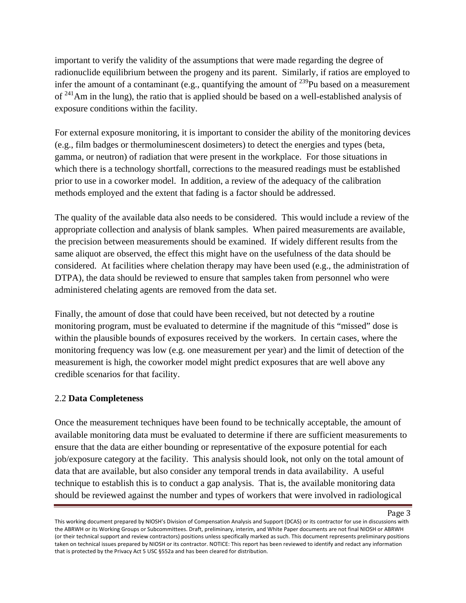important to verify the validity of the assumptions that were made regarding the degree of radionuclide equilibrium between the progeny and its parent. Similarly, if ratios are employed to infer the amount of a contaminant (e.g., quantifying the amount of  $^{239}$ Pu based on a measurement of  $241$ Am in the lung), the ratio that is applied should be based on a well-established analysis of exposure conditions within the facility.

For external exposure monitoring, it is important to consider the ability of the monitoring devices (e.g., film badges or thermoluminescent dosimeters) to detect the energies and types (beta, gamma, or neutron) of radiation that were present in the workplace. For those situations in which there is a technology shortfall, corrections to the measured readings must be established prior to use in a coworker model. In addition, a review of the adequacy of the calibration methods employed and the extent that fading is a factor should be addressed.

The quality of the available data also needs to be considered. This would include a review of the appropriate collection and analysis of blank samples. When paired measurements are available, the precision between measurements should be examined. If widely different results from the same aliquot are observed, the effect this might have on the usefulness of the data should be considered. At facilities where chelation therapy may have been used (e.g., the administration of DTPA), the data should be reviewed to ensure that samples taken from personnel who were administered chelating agents are removed from the data set.

Finally, the amount of dose that could have been received, but not detected by a routine monitoring program, must be evaluated to determine if the magnitude of this "missed" dose is within the plausible bounds of exposures received by the workers. In certain cases, where the monitoring frequency was low (e.g. one measurement per year) and the limit of detection of the measurement is high, the coworker model might predict exposures that are well above any credible scenarios for that facility.

### 2.2 **Data Completeness**

Once the measurement techniques have been found to be technically acceptable, the amount of available monitoring data must be evaluated to determine if there are sufficient measurements to ensure that the data are either bounding or representative of the exposure potential for each job/exposure category at the facility. This analysis should look, not only on the total amount of data that are available, but also consider any temporal trends in data availability. A useful technique to establish this is to conduct a gap analysis. That is, the available monitoring data should be reviewed against the number and types of workers that were involved in radiological

This working document prepared by NIOSH's Division of Compensation Analysis and Support (DCAS) or its contractor for use in discussions with the ABRWH or its Working Groups or Subcommittees. Draft, preliminary, interim, and White Paper documents are not final NIOSH or ABRWH (or their technical support and review contractors) positions unless specifically marked as such. This document represents preliminary positions taken on technical issues prepared by NIOSH or its contractor. NOTICE: This report has been reviewed to identify and redact any information that is protected by the Privacy Act 5 USC §552a and has been cleared for distribution.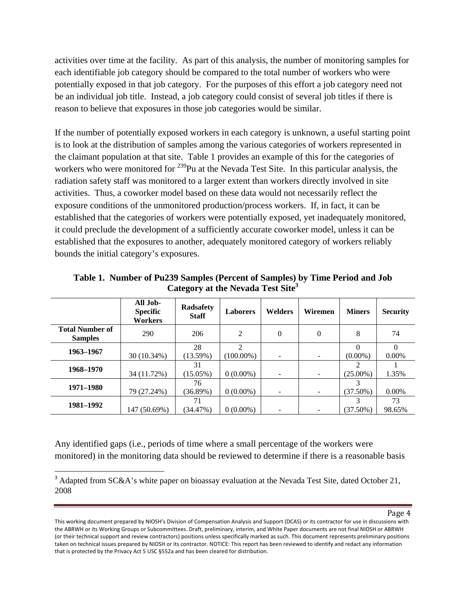activities over time at the facility. As part of this analysis, the number of monitoring samples for each identifiable job category should be compared to the total number of workers who were potentially exposed in that job category. For the purposes of this effort a job category need not be an individual job title. Instead, a job category could consist of several job titles if there is reason to believe that exposures in those job categories would be similar.

If the number of potentially exposed workers in each category is unknown, a useful starting point is to look at the distribution of samples among the various categories of workers represented in the claimant population at that site. Table 1 provides an example of this for the categories of workers who were monitored for <sup>239</sup>Pu at the Nevada Test Site. In this particular analysis, the radiation safety staff was monitored to a larger extent than workers directly involved in site activities. Thus, a coworker model based on these data would not necessarily reflect the exposure conditions of the unmonitored production/process workers. If, in fact, it can be established that the categories of workers were potentially exposed, yet inadequately monitored, it could preclude the development of a sufficiently accurate coworker model, unless it can be established that the exposures to another, adequately monitored category of workers reliably bounds the initial category's exposures.

|                                          | All Job-<br><b>Specific</b><br>Workers | <b>Radsafety</b><br><b>Staff</b> | <b>Laborers</b>                | <b>Welders</b> | Wiremen  | <b>Miners</b> | <b>Security</b>   |
|------------------------------------------|----------------------------------------|----------------------------------|--------------------------------|----------------|----------|---------------|-------------------|
| <b>Total Number of</b><br><b>Samples</b> | 290                                    | 206                              | $\overline{2}$                 | $\Omega$       | $\Omega$ | 8             | 74                |
| 1963–1967                                | 30 (10.34%)                            | 28<br>$(13.59\%)$                | $\mathfrak{D}$<br>$(100.00\%)$ |                |          | $(0.00\%)$    | $\Omega$<br>0.00% |
| 1968–1970                                | 34 (11.72%)                            | 31<br>$(15.05\%)$                | $0(0.00\%)$                    |                |          | $(25.00\%)$   | 1.35%             |
| 1971-1980                                | 79 (27.24%)                            | 76<br>$(36.89\%)$                | $0(0.00\%)$                    |                |          | $(37.50\%)$   | $0.00\%$          |
| 1981–1992                                | 147 (50.69%)                           | 71<br>(34.47%)                   | $0(0.00\%)$                    |                |          | $(37.50\%)$   | 73<br>98.65%      |

**Table 1. Number of Pu239 Samples (Percent of Samples) by Time Period and Job Category at the Nevada Test Site3**

Any identified gaps (i.e., periods of time where a small percentage of the workers were monitored) in the monitoring data should be reviewed to determine if there is a reasonable basis

<sup>&</sup>lt;sup>3</sup> Adapted from SC&A's white paper on bioassay evaluation at the Nevada Test Site, dated October 21, 2008

This working document prepared by NIOSH's Division of Compensation Analysis and Support (DCAS) or its contractor for use in discussions with the ABRWH or its Working Groups or Subcommittees. Draft, preliminary, interim, and White Paper documents are not final NIOSH or ABRWH (or their technical support and review contractors) positions unless specifically marked as such. This document represents preliminary positions taken on technical issues prepared by NIOSH or its contractor. NOTICE: This report has been reviewed to identify and redact any information that is protected by the Privacy Act 5 USC §552a and has been cleared for distribution.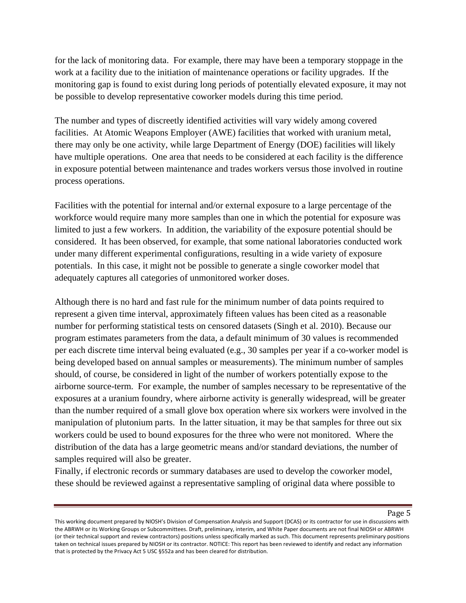for the lack of monitoring data. For example, there may have been a temporary stoppage in the work at a facility due to the initiation of maintenance operations or facility upgrades. If the monitoring gap is found to exist during long periods of potentially elevated exposure, it may not be possible to develop representative coworker models during this time period.

The number and types of discreetly identified activities will vary widely among covered facilities. At Atomic Weapons Employer (AWE) facilities that worked with uranium metal, there may only be one activity, while large Department of Energy (DOE) facilities will likely have multiple operations. One area that needs to be considered at each facility is the difference in exposure potential between maintenance and trades workers versus those involved in routine process operations.

Facilities with the potential for internal and/or external exposure to a large percentage of the workforce would require many more samples than one in which the potential for exposure was limited to just a few workers. In addition, the variability of the exposure potential should be considered. It has been observed, for example, that some national laboratories conducted work under many different experimental configurations, resulting in a wide variety of exposure potentials. In this case, it might not be possible to generate a single coworker model that adequately captures all categories of unmonitored worker doses.

Although there is no hard and fast rule for the minimum number of data points required to represent a given time interval, approximately fifteen values has been cited as a reasonable number for performing statistical tests on censored datasets (Singh et al. 2010). Because our program estimates parameters from the data, a default minimum of 30 values is recommended per each discrete time interval being evaluated (e.g., 30 samples per year if a co-worker model is being developed based on annual samples or measurements). The minimum number of samples should, of course, be considered in light of the number of workers potentially expose to the airborne source-term. For example, the number of samples necessary to be representative of the exposures at a uranium foundry, where airborne activity is generally widespread, will be greater than the number required of a small glove box operation where six workers were involved in the manipulation of plutonium parts. In the latter situation, it may be that samples for three out six workers could be used to bound exposures for the three who were not monitored. Where the distribution of the data has a large geometric means and/or standard deviations, the number of samples required will also be greater.

Finally, if electronic records or summary databases are used to develop the coworker model, these should be reviewed against a representative sampling of original data where possible to

This working document prepared by NIOSH's Division of Compensation Analysis and Support (DCAS) or its contractor for use in discussions with the ABRWH or its Working Groups or Subcommittees. Draft, preliminary, interim, and White Paper documents are not final NIOSH or ABRWH (or their technical support and review contractors) positions unless specifically marked as such. This document represents preliminary positions taken on technical issues prepared by NIOSH or its contractor. NOTICE: This report has been reviewed to identify and redact any information that is protected by the Privacy Act 5 USC §552a and has been cleared for distribution.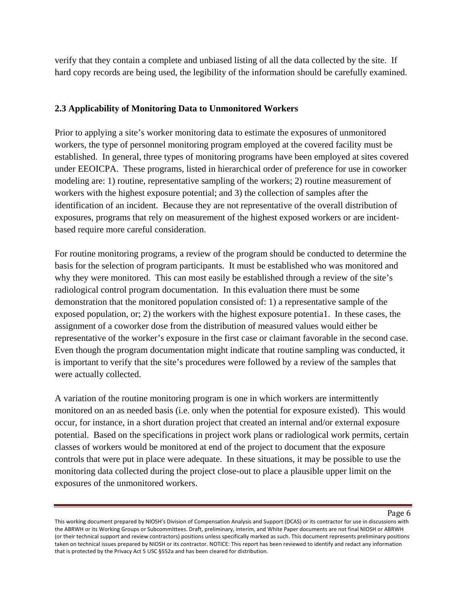verify that they contain a complete and unbiased listing of all the data collected by the site. If hard copy records are being used, the legibility of the information should be carefully examined.

# **2.3 Applicability of Monitoring Data to Unmonitored Workers**

Prior to applying a site's worker monitoring data to estimate the exposures of unmonitored workers, the type of personnel monitoring program employed at the covered facility must be established. In general, three types of monitoring programs have been employed at sites covered under EEOICPA. These programs, listed in hierarchical order of preference for use in coworker modeling are: 1) routine, representative sampling of the workers; 2) routine measurement of workers with the highest exposure potential; and 3) the collection of samples after the identification of an incident. Because they are not representative of the overall distribution of exposures, programs that rely on measurement of the highest exposed workers or are incidentbased require more careful consideration.

For routine monitoring programs, a review of the program should be conducted to determine the basis for the selection of program participants. It must be established who was monitored and why they were monitored. This can most easily be established through a review of the site's radiological control program documentation. In this evaluation there must be some demonstration that the monitored population consisted of: 1) a representative sample of the exposed population, or; 2) the workers with the highest exposure potentia1. In these cases, the assignment of a coworker dose from the distribution of measured values would either be representative of the worker's exposure in the first case or claimant favorable in the second case. Even though the program documentation might indicate that routine sampling was conducted, it is important to verify that the site's procedures were followed by a review of the samples that were actually collected.

A variation of the routine monitoring program is one in which workers are intermittently monitored on an as needed basis (i.e. only when the potential for exposure existed). This would occur, for instance, in a short duration project that created an internal and/or external exposure potential. Based on the specifications in project work plans or radiological work permits, certain classes of workers would be monitored at end of the project to document that the exposure controls that were put in place were adequate. In these situations, it may be possible to use the monitoring data collected during the project close-out to place a plausible upper limit on the exposures of the unmonitored workers.

This working document prepared by NIOSH's Division of Compensation Analysis and Support (DCAS) or its contractor for use in discussions with the ABRWH or its Working Groups or Subcommittees. Draft, preliminary, interim, and White Paper documents are not final NIOSH or ABRWH (or their technical support and review contractors) positions unless specifically marked as such. This document represents preliminary positions taken on technical issues prepared by NIOSH or its contractor. NOTICE: This report has been reviewed to identify and redact any information that is protected by the Privacy Act 5 USC §552a and has been cleared for distribution.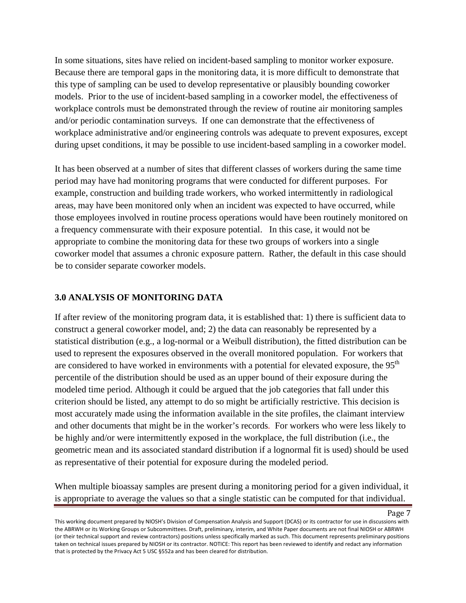In some situations, sites have relied on incident-based sampling to monitor worker exposure. Because there are temporal gaps in the monitoring data, it is more difficult to demonstrate that this type of sampling can be used to develop representative or plausibly bounding coworker models. Prior to the use of incident-based sampling in a coworker model, the effectiveness of workplace controls must be demonstrated through the review of routine air monitoring samples and/or periodic contamination surveys. If one can demonstrate that the effectiveness of workplace administrative and/or engineering controls was adequate to prevent exposures, except during upset conditions, it may be possible to use incident-based sampling in a coworker model.

It has been observed at a number of sites that different classes of workers during the same time period may have had monitoring programs that were conducted for different purposes. For example, construction and building trade workers, who worked intermittently in radiological areas, may have been monitored only when an incident was expected to have occurred, while those employees involved in routine process operations would have been routinely monitored on a frequency commensurate with their exposure potential. In this case, it would not be appropriate to combine the monitoring data for these two groups of workers into a single coworker model that assumes a chronic exposure pattern. Rather, the default in this case should be to consider separate coworker models.

### **3.0 ANALYSIS OF MONITORING DATA**

If after review of the monitoring program data, it is established that: 1) there is sufficient data to construct a general coworker model, and; 2) the data can reasonably be represented by a statistical distribution (e.g., a log-normal or a Weibull distribution), the fitted distribution can be used to represent the exposures observed in the overall monitored population. For workers that are considered to have worked in environments with a potential for elevated exposure, the 95<sup>th</sup> percentile of the distribution should be used as an upper bound of their exposure during the modeled time period. Although it could be argued that the job categories that fall under this criterion should be listed, any attempt to do so might be artificially restrictive. This decision is most accurately made using the information available in the site profiles, the claimant interview and other documents that might be in the worker's records*.* For workers who were less likely to be highly and/or were intermittently exposed in the workplace, the full distribution (i.e., the geometric mean and its associated standard distribution if a lognormal fit is used) should be used as representative of their potential for exposure during the modeled period.

When multiple bioassay samples are present during a monitoring period for a given individual, it is appropriate to average the values so that a single statistic can be computed for that individual.

This working document prepared by NIOSH's Division of Compensation Analysis and Support (DCAS) or its contractor for use in discussions with the ABRWH or its Working Groups or Subcommittees. Draft, preliminary, interim, and White Paper documents are not final NIOSH or ABRWH (or their technical support and review contractors) positions unless specifically marked as such. This document represents preliminary positions taken on technical issues prepared by NIOSH or its contractor. NOTICE: This report has been reviewed to identify and redact any information that is protected by the Privacy Act 5 USC §552a and has been cleared for distribution.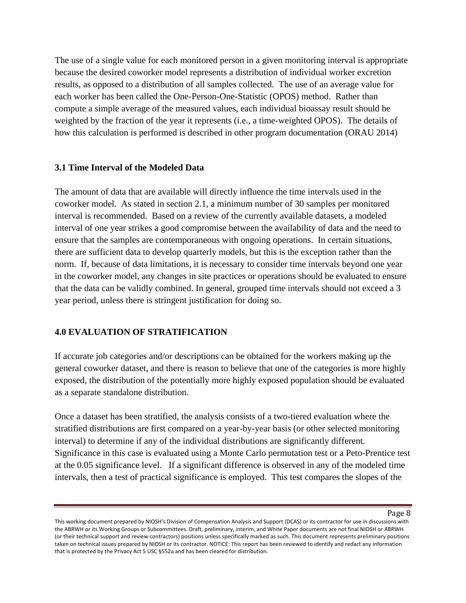The use of a single value for each monitored person in a given monitoring interval is appropriate because the desired coworker model represents a distribution of individual worker excretion results, as opposed to a distribution of all samples collected. The use of an average value for each worker has been called the One-Person-One-Statistic (OPOS) method. Rather than compute a simple average of the measured values, each individual bioassay result should be weighted by the fraction of the year it represents (i.e., a time-weighted OPOS). The details of how this calculation is performed is described in other program documentation (ORAU 2014)

### **3.1 Time Interval of the Modeled Data**

The amount of data that are available will directly influence the time intervals used in the coworker model. As stated in section 2.1, a minimum number of 30 samples per monitored interval is recommended. Based on a review of the currently available datasets, a modeled interval of one year strikes a good compromise between the availability of data and the need to ensure that the samples are contemporaneous with ongoing operations. In certain situations, there are sufficient data to develop quarterly models, but this is the exception rather than the norm. If, because of data limitations, it is necessary to consider time intervals beyond one year in the coworker model, any changes in site practices or operations should be evaluated to ensure that the data can be validly combined. In general, grouped time intervals should not exceed a 3 year period, unless there is stringent justification for doing so.

### **4.0 EVALUATION OF STRATIFICATION**

If accurate job categories and/or descriptions can be obtained for the workers making up the general coworker dataset, and there is reason to believe that one of the categories is more highly exposed, the distribution of the potentially more highly exposed population should be evaluated as a separate standalone distribution.

Once a dataset has been stratified, the analysis consists of a two-tiered evaluation where the stratified distributions are first compared on a year-by-year basis (or other selected monitoring interval) to determine if any of the individual distributions are significantly different. Significance in this case is evaluated using a Monte Carlo permutation test or a Peto-Prentice test at the 0.05 significance level. If a significant difference is observed in any of the modeled time intervals, then a test of practical significance is employed. This test compares the slopes of the

This working document prepared by NIOSH's Division of Compensation Analysis and Support (DCAS) or its contractor for use in discussions with the ABRWH or its Working Groups or Subcommittees. Draft, preliminary, interim, and White Paper documents are not final NIOSH or ABRWH (or their technical support and review contractors) positions unless specifically marked as such. This document represents preliminary positions taken on technical issues prepared by NIOSH or its contractor. NOTICE: This report has been reviewed to identify and redact any information that is protected by the Privacy Act 5 USC §552a and has been cleared for distribution.